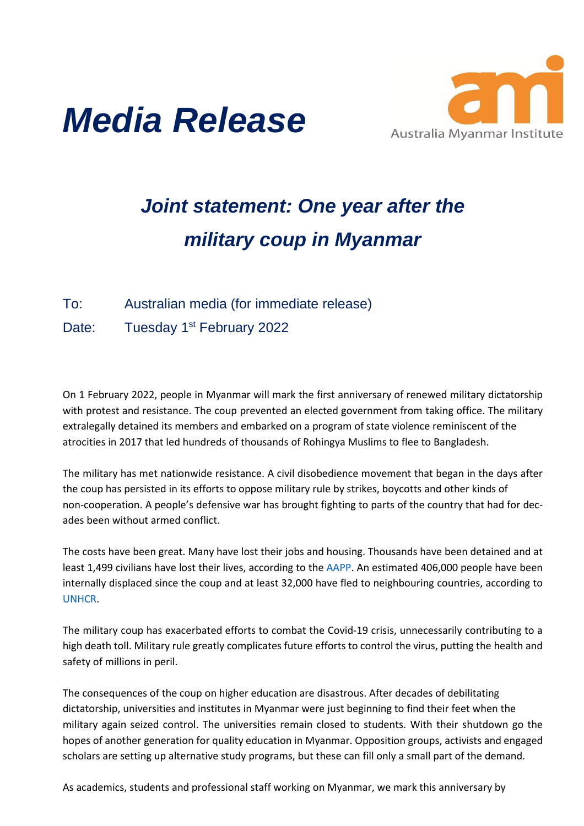



## *Joint statement: One year after the military coup in Myanmar*

## To: Australian media (for immediate release)

Date: Tuesday 1<sup>st</sup> February 2022

On 1 February 2022, people in Myanmar will mark the first anniversary of renewed military dictatorship with protest and resistance. The coup prevented an elected government from taking office. The military extralegally detained its members and embarked on a program of state violence reminiscent of the atrocities in 2017 that led hundreds of thousands of Rohingya Muslims to flee to Bangladesh.

The military has met nationwide resistance. A civil disobedience movement that began in the days after the coup has persisted in its efforts to oppose military rule by strikes, boycotts and other kinds of non-cooperation. A people's defensive war has brought fighting to parts of the country that had for decades been without armed conflict.

The costs have been great. Many have lost their jobs and housing. Thousands have been detained and at least 1,499 civilians have lost their lives, according to the AAPP. An estimated 406,000 people have been internally displaced since the coup and at least 32,000 have fled to neighbouring countries, according to UNHCR.

The military coup has exacerbated efforts to combat the Covid-19 crisis, unnecessarily contributing to a high death toll. Military rule greatly complicates future efforts to control the virus, putting the health and safety of millions in peril.

The consequences of the coup on higher education are disastrous. After decades of debilitating dictatorship, universities and institutes in Myanmar were just beginning to find their feet when the military again seized control. The universities remain closed to students. With their shutdown go the hopes of another generation for quality education in Myanmar. Opposition groups, activists and engaged scholars are setting up alternative study programs, but these can fill only a small part of the demand.

As academics, students and professional staff working on Myanmar, we mark this anniversary by